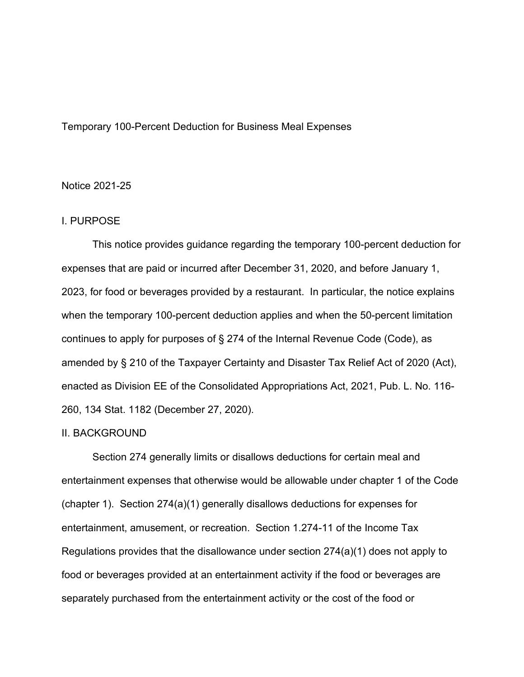### Temporary 100-Percent Deduction for Business Meal Expenses

## Notice 2021-25

## I. PURPOSE

This notice provides guidance regarding the temporary 100-percent deduction for expenses that are paid or incurred after December 31, 2020, and before January 1, 2023, for food or beverages provided by a restaurant. In particular, the notice explains when the temporary 100-percent deduction applies and when the 50-percent limitation continues to apply for purposes of § 274 of the Internal Revenue Code (Code), as amended by § 210 of the Taxpayer Certainty and Disaster Tax Relief Act of 2020 (Act), enacted as Division EE of the Consolidated Appropriations Act, 2021, Pub. L. No. 116- 260, 134 Stat. 1182 (December 27, 2020).

# II. BACKGROUND

Section 274 generally limits or disallows deductions for certain meal and entertainment expenses that otherwise would be allowable under chapter 1 of the Code (chapter 1). Section 274(a)(1) generally disallows deductions for expenses for entertainment, amusement, or recreation. Section 1.274-11 of the Income Tax Regulations provides that the disallowance under section 274(a)(1) does not apply to food or beverages provided at an entertainment activity if the food or beverages are separately purchased from the entertainment activity or the cost of the food or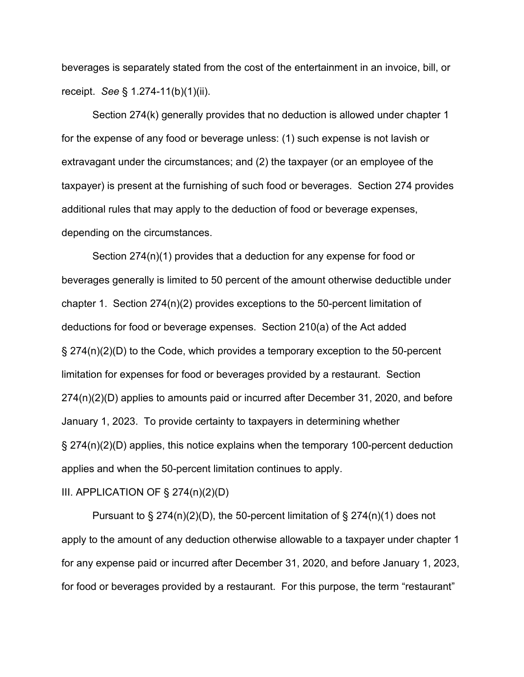beverages is separately stated from the cost of the entertainment in an invoice, bill, or receipt. *See* § 1.274-11(b)(1)(ii).

Section 274(k) generally provides that no deduction is allowed under chapter 1 for the expense of any food or beverage unless: (1) such expense is not lavish or extravagant under the circumstances; and (2) the taxpayer (or an employee of the taxpayer) is present at the furnishing of such food or beverages. Section 274 provides additional rules that may apply to the deduction of food or beverage expenses, depending on the circumstances.

Section 274(n)(1) provides that a deduction for any expense for food or beverages generally is limited to 50 percent of the amount otherwise deductible under chapter 1. Section 274(n)(2) provides exceptions to the 50-percent limitation of deductions for food or beverage expenses. Section 210(a) of the Act added § 274(n)(2)(D) to the Code, which provides a temporary exception to the 50-percent limitation for expenses for food or beverages provided by a restaurant. Section 274(n)(2)(D) applies to amounts paid or incurred after December 31, 2020, and before January 1, 2023. To provide certainty to taxpayers in determining whether § 274(n)(2)(D) applies, this notice explains when the temporary 100-percent deduction applies and when the 50-percent limitation continues to apply.

#### III. APPLICATION OF § 274(n)(2)(D)

Pursuant to  $\S 274(n)(2)(D)$ , the 50-percent limitation of  $\S 274(n)(1)$  does not apply to the amount of any deduction otherwise allowable to a taxpayer under chapter 1 for any expense paid or incurred after December 31, 2020, and before January 1, 2023, for food or beverages provided by a restaurant. For this purpose, the term "restaurant"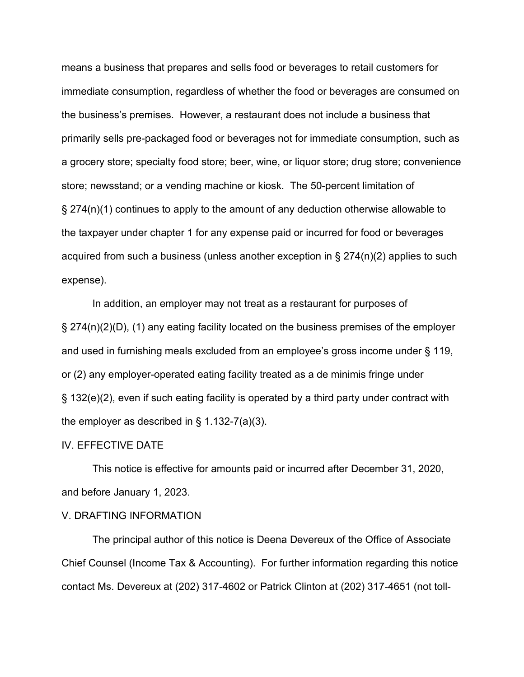means a business that prepares and sells food or beverages to retail customers for immediate consumption, regardless of whether the food or beverages are consumed on the business's premises. However, a restaurant does not include a business that primarily sells pre-packaged food or beverages not for immediate consumption, such as a grocery store; specialty food store; beer, wine, or liquor store; drug store; convenience store; newsstand; or a vending machine or kiosk. The 50-percent limitation of § 274(n)(1) continues to apply to the amount of any deduction otherwise allowable to the taxpayer under chapter 1 for any expense paid or incurred for food or beverages acquired from such a business (unless another exception in § 274(n)(2) applies to such expense).

In addition, an employer may not treat as a restaurant for purposes of § 274(n)(2)(D), (1) any eating facility located on the business premises of the employer and used in furnishing meals excluded from an employee's gross income under § 119, or (2) any employer-operated eating facility treated as a de minimis fringe under § 132(e)(2), even if such eating facility is operated by a third party under contract with the employer as described in  $\S$  1.132-7(a)(3).

#### IV. EFFECTIVE DATE

This notice is effective for amounts paid or incurred after December 31, 2020, and before January 1, 2023.

#### V. DRAFTING INFORMATION

The principal author of this notice is Deena Devereux of the Office of Associate Chief Counsel (Income Tax & Accounting). For further information regarding this notice contact Ms. Devereux at (202) 317-4602 or Patrick Clinton at (202) 317-4651 (not toll